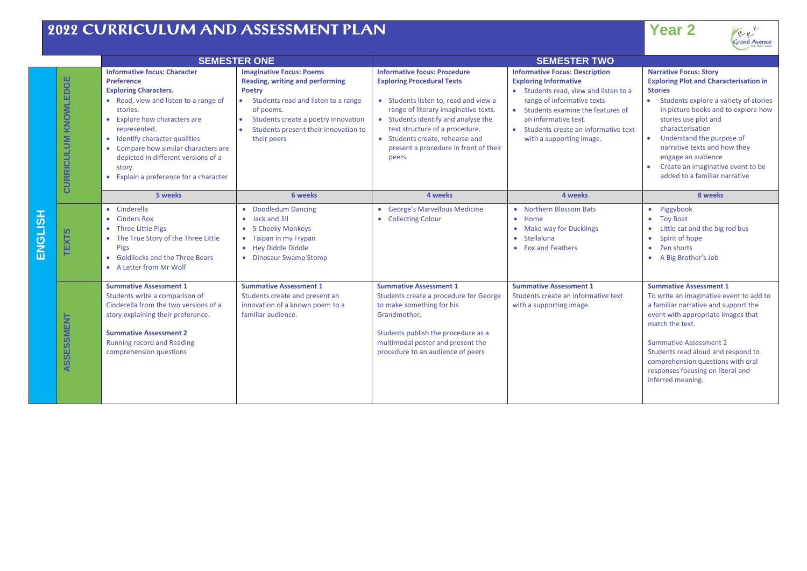## **2022 CURRICULUM AND ASSESSMENT PLAN**

| e e | ---- |  |  |
|-----|------|--|--|
|     |      |  |  |



|        |                                | <b>SEMESTER ONE</b>                                                                                                                                                                                                                                                                                                                                       |                                                                                                                                                                                                                                                    | <b>SEMESTER TWO</b>                                                                                                                                                                                                                                                                                                      |                                                                                                                                                                                                                                                                                 |                                                                                                                                                                                                                                                                                                                                                                                                    |
|--------|--------------------------------|-----------------------------------------------------------------------------------------------------------------------------------------------------------------------------------------------------------------------------------------------------------------------------------------------------------------------------------------------------------|----------------------------------------------------------------------------------------------------------------------------------------------------------------------------------------------------------------------------------------------------|--------------------------------------------------------------------------------------------------------------------------------------------------------------------------------------------------------------------------------------------------------------------------------------------------------------------------|---------------------------------------------------------------------------------------------------------------------------------------------------------------------------------------------------------------------------------------------------------------------------------|----------------------------------------------------------------------------------------------------------------------------------------------------------------------------------------------------------------------------------------------------------------------------------------------------------------------------------------------------------------------------------------------------|
|        | KNOWLEDGE<br><b>CURRICULUM</b> | <b>Informative focus: Character</b><br>Preference<br><b>Exploring Characters.</b><br>• Read, view and listen to a range of<br>stories.<br>Explore how characters are<br>represented.<br>• Identify character qualities<br>• Compare how similar characters are<br>depicted in different versions of a<br>story.<br>• Explain a preference for a character | <b>Imaginative Focus: Poems</b><br>Reading, writing and performing<br><b>Poetry</b><br>Students read and listen to a range<br>of poems.<br>Students create a poetry innovation<br>Students present their innovation to<br>$\bullet$<br>their peers | <b>Informative focus: Procedure</b><br><b>Exploring Procedural Texts</b><br>• Students listen to, read and view a<br>range of literary imaginative texts.<br>• Students identify and analyse the<br>text structure of a procedure.<br>• Students create, rehearse and<br>present a procedure in front of their<br>peers. | <b>Informative Focus: Description</b><br><b>Exploring Informative</b><br>• Students read, view and listen to a<br>range of informative texts<br>• Students examine the features of<br>an informative text.<br>• Students create an informative text<br>with a supporting image. | <b>Narrative Focus: Story</b><br><b>Exploring Plot and Characterisation in</b><br><b>Stories</b><br>Students explore a variety of stories<br>in picture books and to explore how<br>stories use plot and<br>characterisation<br>$\bullet$<br>Understand the purpose of<br>narrative texts and how they<br>engage an audience<br>Create an imaginative event to be<br>added to a familiar narrative |
|        |                                | 5 weeks                                                                                                                                                                                                                                                                                                                                                   | 6 weeks                                                                                                                                                                                                                                            | 4 weeks                                                                                                                                                                                                                                                                                                                  | 4 weeks                                                                                                                                                                                                                                                                         | 8 weeks                                                                                                                                                                                                                                                                                                                                                                                            |
| ی<br>⊓ | <b>EXTS</b>                    | • Cinderella<br>• Cinders Rox<br>• Three Little Pigs<br>• The True Story of the Three Little<br>Pigs<br><b>Goldilocks and the Three Bears</b><br>• A Letter from Mr Wolf                                                                                                                                                                                  | • Doodledum Dancing<br>• Jack and Jill<br>• 5 Cheeky Monkeys<br>• Taipan in my Frypan<br>• Hey Diddle Diddle<br>• Dinosaur Swamp Stomp                                                                                                             | • George's Marvellous Medicine<br>• Collecting Colour                                                                                                                                                                                                                                                                    | • Northern Blossom Bats<br>• Home<br>• Make way for Ducklings<br>• Stellaluna<br>• Fox and Feathers                                                                                                                                                                             | Piggybook<br>$\bullet$<br><b>Toy Boat</b><br>$\bullet$<br>Little cat and the big red bus<br>$\bullet$<br>Spirit of hope<br>$\bullet$<br>Zen shorts<br>$\bullet$<br>• A Big Brother's Job                                                                                                                                                                                                           |
|        | SSMENT<br>ASSES                | <b>Summative Assessment 1</b><br>Students write a comparison of<br>Cinderella from the two versions of a<br>story explaining their preference.<br><b>Summative Assessment 2</b><br><b>Running record and Reading</b><br>comprehension questions                                                                                                           | <b>Summative Assessment 1</b><br>Students create and present an<br>innovation of a known poem to a<br>familiar audience.                                                                                                                           | <b>Summative Assessment 1</b><br>Students create a procedure for George<br>to make something for his<br>Grandmother.<br>Students publish the procedure as a<br>multimodal poster and present the<br>procedure to an audience of peers                                                                                    | <b>Summative Assessment 1</b><br>Students create an informative text<br>with a supporting image.                                                                                                                                                                                | <b>Summative Assessment 1</b><br>To write an imaginative event to add to<br>a familiar narrative and support the<br>event with appropriate images that<br>match the text.<br><b>Summative Assessment 2</b><br>Students read aloud and respond to<br>comprehension questions with oral<br>responses focusing on literal and<br>inferred meaning.                                                    |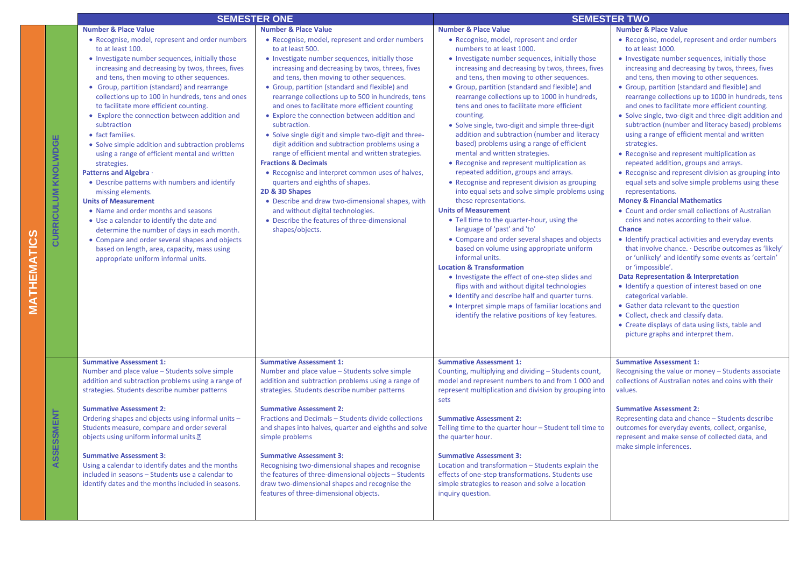|                            |                                                                                                                                                                                                                                                                                                                                                                                                                                                                                                                                                                                                                                                                                                                                                                                                                                                                                                                                                                                             | <b>SEMESTER ONE</b>                                                                                                                                                                                                                                                                                                                                                                                                                                                                                                                                                                                                                                                                                                                                                                                                                                                                                                       | <b>SEMESTER TWO</b>                                                                                                                                                                                                                                                                                                                                                                                                                                                                                                                                                                                                                                                                                                                                                                                                                                                                                                                                                                                                                                                                                                                                                                                                                                                                                                                    |                                                                                                                                                                                                                                                                                                                                                                                                                                                                                                                                                                                                                                                                                                                                                                                                                                                                                                                                                                                                                                                                                                                                                                                                                                                                                                                                                                                                                                                            |
|----------------------------|---------------------------------------------------------------------------------------------------------------------------------------------------------------------------------------------------------------------------------------------------------------------------------------------------------------------------------------------------------------------------------------------------------------------------------------------------------------------------------------------------------------------------------------------------------------------------------------------------------------------------------------------------------------------------------------------------------------------------------------------------------------------------------------------------------------------------------------------------------------------------------------------------------------------------------------------------------------------------------------------|---------------------------------------------------------------------------------------------------------------------------------------------------------------------------------------------------------------------------------------------------------------------------------------------------------------------------------------------------------------------------------------------------------------------------------------------------------------------------------------------------------------------------------------------------------------------------------------------------------------------------------------------------------------------------------------------------------------------------------------------------------------------------------------------------------------------------------------------------------------------------------------------------------------------------|----------------------------------------------------------------------------------------------------------------------------------------------------------------------------------------------------------------------------------------------------------------------------------------------------------------------------------------------------------------------------------------------------------------------------------------------------------------------------------------------------------------------------------------------------------------------------------------------------------------------------------------------------------------------------------------------------------------------------------------------------------------------------------------------------------------------------------------------------------------------------------------------------------------------------------------------------------------------------------------------------------------------------------------------------------------------------------------------------------------------------------------------------------------------------------------------------------------------------------------------------------------------------------------------------------------------------------------|------------------------------------------------------------------------------------------------------------------------------------------------------------------------------------------------------------------------------------------------------------------------------------------------------------------------------------------------------------------------------------------------------------------------------------------------------------------------------------------------------------------------------------------------------------------------------------------------------------------------------------------------------------------------------------------------------------------------------------------------------------------------------------------------------------------------------------------------------------------------------------------------------------------------------------------------------------------------------------------------------------------------------------------------------------------------------------------------------------------------------------------------------------------------------------------------------------------------------------------------------------------------------------------------------------------------------------------------------------------------------------------------------------------------------------------------------------|
|                            | <b>Number &amp; Place Value</b>                                                                                                                                                                                                                                                                                                                                                                                                                                                                                                                                                                                                                                                                                                                                                                                                                                                                                                                                                             | <b>Number &amp; Place Value</b>                                                                                                                                                                                                                                                                                                                                                                                                                                                                                                                                                                                                                                                                                                                                                                                                                                                                                           | <b>Number &amp; Place Value</b>                                                                                                                                                                                                                                                                                                                                                                                                                                                                                                                                                                                                                                                                                                                                                                                                                                                                                                                                                                                                                                                                                                                                                                                                                                                                                                        | <b>Number &amp; Place Value</b>                                                                                                                                                                                                                                                                                                                                                                                                                                                                                                                                                                                                                                                                                                                                                                                                                                                                                                                                                                                                                                                                                                                                                                                                                                                                                                                                                                                                                            |
| <b>CURRICULUM KNOLWDGE</b> | • Recognise, model, represent and order numbers<br>to at least 100.<br>• Investigate number sequences, initially those<br>increasing and decreasing by twos, threes, fives<br>and tens, then moving to other sequences.<br>• Group, partition (standard) and rearrange<br>collections up to 100 in hundreds, tens and ones<br>to facilitate more efficient counting.<br>• Explore the connection between addition and<br>subtraction<br>• fact families.<br>• Solve simple addition and subtraction problems<br>using a range of efficient mental and written<br>strategies.<br><b>Patterns and Algebra</b><br>• Describe patterns with numbers and identify<br>missing elements.<br><b>Units of Measurement</b><br>• Name and order months and seasons<br>• Use a calendar to identify the date and<br>determine the number of days in each month.<br>• Compare and order several shapes and objects<br>based on length, area, capacity, mass using<br>appropriate uniform informal units. | • Recognise, model, represent and order numbers<br>to at least 500.<br>• Investigate number sequences, initially those<br>increasing and decreasing by twos, threes, fives<br>and tens, then moving to other sequences.<br>• Group, partition (standard and flexible) and<br>rearrange collections up to 500 in hundreds, tens<br>and ones to facilitate more efficient counting<br>• Explore the connection between addition and<br>subtraction.<br>• Solve single digit and simple two-digit and three-<br>digit addition and subtraction problems using a<br>range of efficient mental and written strategies.<br><b>Fractions &amp; Decimals</b><br>• Recognise and interpret common uses of halves,<br>quarters and eighths of shapes.<br>2D & 3D Shapes<br>• Describe and draw two-dimensional shapes, with<br>and without digital technologies.<br>• Describe the features of three-dimensional<br>shapes/objects. | • Recognise, model, represent and order<br>numbers to at least 1000.<br>• Investigate number sequences, initially those<br>increasing and decreasing by twos, threes, fives<br>and tens, then moving to other sequences.<br>• Group, partition (standard and flexible) and<br>rearrange collections up to 1000 in hundreds,<br>tens and ones to facilitate more efficient<br>counting.<br>• Solve single, two-digit and simple three-digit<br>addition and subtraction (number and literacy<br>based) problems using a range of efficient<br>mental and written strategies.<br>• Recognise and represent multiplication as<br>repeated addition, groups and arrays.<br>• Recognise and represent division as grouping<br>into equal sets and solve simple problems using<br>these representations.<br><b>Units of Measurement</b><br>• Tell time to the quarter-hour, using the<br>language of 'past' and 'to'<br>• Compare and order several shapes and objects<br>based on volume using appropriate uniform<br>informal units.<br><b>Location &amp; Transformation</b><br>• Investigate the effect of one-step slides and<br>flips with and without digital technologies<br>• Identify and describe half and quarter turns.<br>• Interpret simple maps of familiar locations and<br>identify the relative positions of key features. | • Recognise, model, represent and order numbers<br>to at least 1000.<br>• Investigate number sequences, initially those<br>increasing and decreasing by twos, threes, fives<br>and tens, then moving to other sequences.<br>• Group, partition (standard and flexible) and<br>rearrange collections up to 1000 in hundreds, tens<br>and ones to facilitate more efficient counting.<br>• Solve single, two-digit and three-digit addition and<br>subtraction (number and literacy based) problems<br>using a range of efficient mental and written<br>strategies.<br>• Recognise and represent multiplication as<br>repeated addition, groups and arrays.<br>• Recognise and represent division as grouping into<br>equal sets and solve simple problems using these<br>representations.<br><b>Money &amp; Financial Mathematics</b><br>• Count and order small collections of Australian<br>coins and notes according to their value.<br><b>Chance</b><br>• Identify practical activities and everyday events<br>that involve chance. · Describe outcomes as 'likely'<br>or 'unlikely' and identify some events as 'certain'<br>or 'impossible'.<br><b>Data Representation &amp; Interpretation</b><br>• Identify a question of interest based on one<br>categorical variable.<br>• Gather data relevant to the question<br>• Collect, check and classify data.<br>• Create displays of data using lists, table and<br>picture graphs and interpret them. |
| ASSESSMENT                 | <b>Summative Assessment 1:</b><br>Number and place value – Students solve simple<br>addition and subtraction problems using a range of<br>strategies. Students describe number patterns<br><b>Summative Assessment 2:</b><br>Ordering shapes and objects using informal units -<br>Students measure, compare and order several<br>objects using uniform informal units. <sup>[2]</sup><br><b>Summative Assessment 3:</b><br>Using a calendar to identify dates and the months<br>included in seasons - Students use a calendar to<br>identify dates and the months included in seasons.                                                                                                                                                                                                                                                                                                                                                                                                     | <b>Summative Assessment 1:</b><br>Number and place value – Students solve simple<br>addition and subtraction problems using a range of<br>strategies. Students describe number patterns<br><b>Summative Assessment 2:</b><br>Fractions and Decimals - Students divide collections<br>and shapes into halves, quarter and eighths and solve<br>simple problems<br><b>Summative Assessment 3:</b><br>Recognising two-dimensional shapes and recognise<br>the features of three-dimensional objects - Students<br>draw two-dimensional shapes and recognise the<br>features of three-dimensional objects.                                                                                                                                                                                                                                                                                                                    | <b>Summative Assessment 1:</b><br>Counting, multiplying and dividing - Students count,<br>model and represent numbers to and from 1000 and<br>represent multiplication and division by grouping into<br>sets<br><b>Summative Assessment 2:</b><br>Telling time to the quarter hour - Student tell time to<br>the quarter hour.<br><b>Summative Assessment 3:</b><br>Location and transformation - Students explain the<br>effects of one-step transformations. Students use<br>simple strategies to reason and solve a location<br>inquiry question.                                                                                                                                                                                                                                                                                                                                                                                                                                                                                                                                                                                                                                                                                                                                                                                   | <b>Summative Assessment 1:</b><br>Recognising the value or money - Students associate<br>collections of Australian notes and coins with their<br>values.<br><b>Summative Assessment 2:</b><br>Representing data and chance - Students describe<br>outcomes for everyday events, collect, organise,<br>represent and make sense of collected data, and<br>make simple inferences.                                                                                                                                                                                                                                                                                                                                                                                                                                                                                                                                                                                                                                                                                                                                                                                                                                                                                                                                                                                                                                                                           |

**MATHEMATICS**

**MATHEMATICS**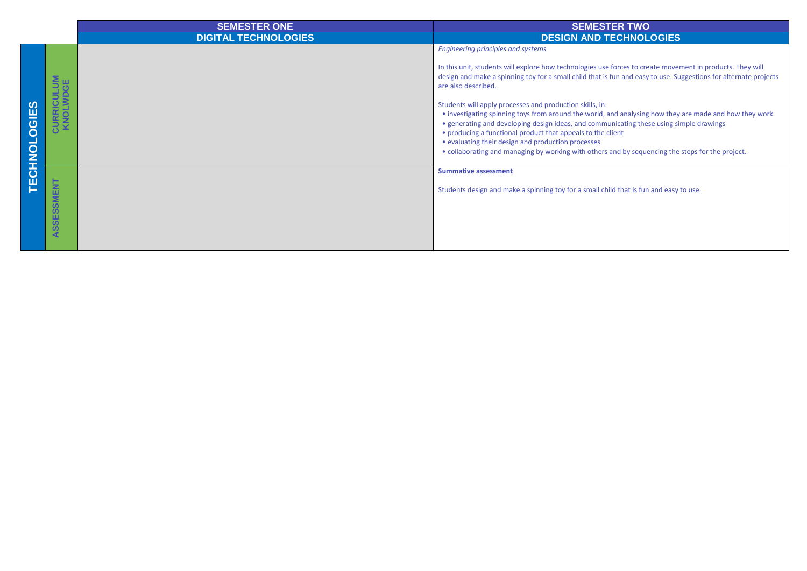|            |                                               | <b>SEMESTER ONE</b>         | <b>SEMESTER TWO</b>                                                                                                                                                                                                                                                                                                                                                                                                                                                                                                                                                                                                                                                                                                                                                                         |  |
|------------|-----------------------------------------------|-----------------------------|---------------------------------------------------------------------------------------------------------------------------------------------------------------------------------------------------------------------------------------------------------------------------------------------------------------------------------------------------------------------------------------------------------------------------------------------------------------------------------------------------------------------------------------------------------------------------------------------------------------------------------------------------------------------------------------------------------------------------------------------------------------------------------------------|--|
|            |                                               | <b>DIGITAL TECHNOLOGIES</b> | <b>DESIGN AND TECHNOLOGIES</b>                                                                                                                                                                                                                                                                                                                                                                                                                                                                                                                                                                                                                                                                                                                                                              |  |
| Ò<br>CHNOL | <b>CURRICULUM</b><br>KNOLWDGE                 |                             | <b>Engineering principles and systems</b><br>In this unit, students will explore how technologies use forces to create movement in products. They will<br>design and make a spinning toy for a small child that is fun and easy to use. Suggestions for alternate projects<br>are also described.<br>Students will apply processes and production skills, in:<br>• investigating spinning toys from around the world, and analysing how they are made and how they work<br>• generating and developing design ideas, and communicating these using simple drawings<br>• producing a functional product that appeals to the client<br>• evaluating their design and production processes<br>• collaborating and managing by working with others and by sequencing the steps for the project. |  |
|            | <b>SMENT</b><br>SSES.<br>$\blacktriangleleft$ |                             | <b>Summative assessment</b><br>Students design and make a spinning toy for a small child that is fun and easy to use.                                                                                                                                                                                                                                                                                                                                                                                                                                                                                                                                                                                                                                                                       |  |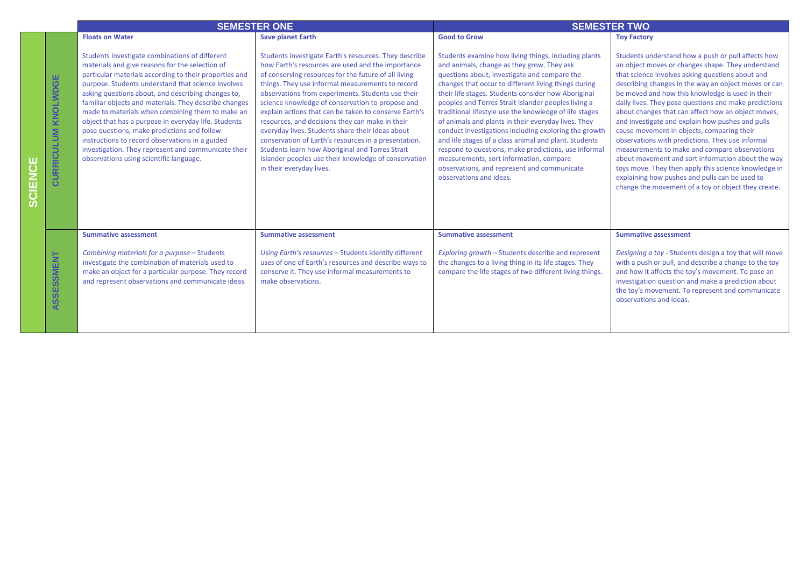|                                   | <b>SEMESTER ONE</b>                                                                                                                                                                                                                                                                                                                                                                                                                                                                                                                                                                                                                              |                                                                                                                                                                                                                                                                                                                                                                                                                                                                                                                                                                                                                                                                                                | <b>SEMESTER TWO</b>                                                                                                                                                                                                                                                                                                                                                                                                                                                                                                                                                                                                                                                                                                                      |                                                                                                                                                                                                                                                                                                                                                                                                                                                                                                                                                                                                                                                                                                                                                                                                                     |  |
|-----------------------------------|--------------------------------------------------------------------------------------------------------------------------------------------------------------------------------------------------------------------------------------------------------------------------------------------------------------------------------------------------------------------------------------------------------------------------------------------------------------------------------------------------------------------------------------------------------------------------------------------------------------------------------------------------|------------------------------------------------------------------------------------------------------------------------------------------------------------------------------------------------------------------------------------------------------------------------------------------------------------------------------------------------------------------------------------------------------------------------------------------------------------------------------------------------------------------------------------------------------------------------------------------------------------------------------------------------------------------------------------------------|------------------------------------------------------------------------------------------------------------------------------------------------------------------------------------------------------------------------------------------------------------------------------------------------------------------------------------------------------------------------------------------------------------------------------------------------------------------------------------------------------------------------------------------------------------------------------------------------------------------------------------------------------------------------------------------------------------------------------------------|---------------------------------------------------------------------------------------------------------------------------------------------------------------------------------------------------------------------------------------------------------------------------------------------------------------------------------------------------------------------------------------------------------------------------------------------------------------------------------------------------------------------------------------------------------------------------------------------------------------------------------------------------------------------------------------------------------------------------------------------------------------------------------------------------------------------|--|
|                                   | <b>Floats on Water</b>                                                                                                                                                                                                                                                                                                                                                                                                                                                                                                                                                                                                                           | <b>Save planet Earth</b>                                                                                                                                                                                                                                                                                                                                                                                                                                                                                                                                                                                                                                                                       | <b>Good to Grow</b>                                                                                                                                                                                                                                                                                                                                                                                                                                                                                                                                                                                                                                                                                                                      | <b>Toy Factory</b>                                                                                                                                                                                                                                                                                                                                                                                                                                                                                                                                                                                                                                                                                                                                                                                                  |  |
| <b>CURRICULUM KNOLWDGE</b>        | Students investigate combinations of different<br>materials and give reasons for the selection of<br>particular materials according to their properties and<br>purpose. Students understand that science involves<br>asking questions about, and describing changes to,<br>familiar objects and materials. They describe changes<br>made to materials when combining them to make an<br>object that has a purpose in everyday life. Students<br>pose questions, make predictions and follow<br>instructions to record observations in a guided<br>investigation. They represent and communicate their<br>observations using scientific language. | Students investigate Earth's resources. They describe<br>how Earth's resources are used and the importance<br>of conserving resources for the future of all living<br>things. They use informal measurements to record<br>observations from experiments. Students use their<br>science knowledge of conservation to propose and<br>explain actions that can be taken to conserve Earth's<br>resources, and decisions they can make in their<br>everyday lives. Students share their ideas about<br>conservation of Earth's resources in a presentation.<br>Students learn how Aboriginal and Torres Strait<br>Islander peoples use their knowledge of conservation<br>in their everyday lives. | Students examine how living things, including plants<br>and animals, change as they grow. They ask<br>questions about, investigate and compare the<br>changes that occur to different living things during<br>their life stages. Students consider how Aboriginal<br>peoples and Torres Strait Islander peoples living a<br>traditional lifestyle use the knowledge of life stages<br>of animals and plants in their everyday lives. They<br>conduct investigations including exploring the growth<br>and life stages of a class animal and plant. Students<br>respond to questions, make predictions, use informal<br>measurements, sort information, compare<br>observations, and represent and communicate<br>observations and ideas. | Students understand how a push or pull affects how<br>an object moves or changes shape. They understand<br>that science involves asking questions about and<br>describing changes in the way an object moves or can<br>be moved and how this knowledge is used in their<br>daily lives. They pose questions and make predictions<br>about changes that can affect how an object moves,<br>and investigate and explain how pushes and pulls<br>cause movement in objects, comparing their<br>observations with predictions. They use informal<br>measurements to make and compare observations<br>about movement and sort information about the way<br>toys move. They then apply this science knowledge in<br>explaining how pushes and pulls can be used to<br>change the movement of a toy or object they create. |  |
| SSESSMENT<br>$\blacktriangleleft$ | <b>Summative assessment</b><br>Combining materials for a purpose - Students<br>investigate the combination of materials used to<br>make an object for a particular purpose. They record<br>and represent observations and communicate ideas.                                                                                                                                                                                                                                                                                                                                                                                                     | <b>Summative assessment</b><br>Using Earth's resources - Students identify different<br>uses of one of Earth's resources and describe ways to<br>conserve it. They use informal measurements to<br>make observations.                                                                                                                                                                                                                                                                                                                                                                                                                                                                          | <b>Summative assessment</b><br>Exploring growth – Students describe and represent<br>the changes to a living thing in its life stages. They<br>compare the life stages of two different living things.                                                                                                                                                                                                                                                                                                                                                                                                                                                                                                                                   | <b>Summative assessment</b><br>Designing a toy - Students design a toy that will move<br>with a push or pull, and describe a change to the toy<br>and how it affects the toy's movement. To pose an<br>investigation question and make a prediction about<br>the toy's movement. To represent and communicate<br>observations and ideas.                                                                                                                                                                                                                                                                                                                                                                                                                                                                            |  |

**SCIENCE**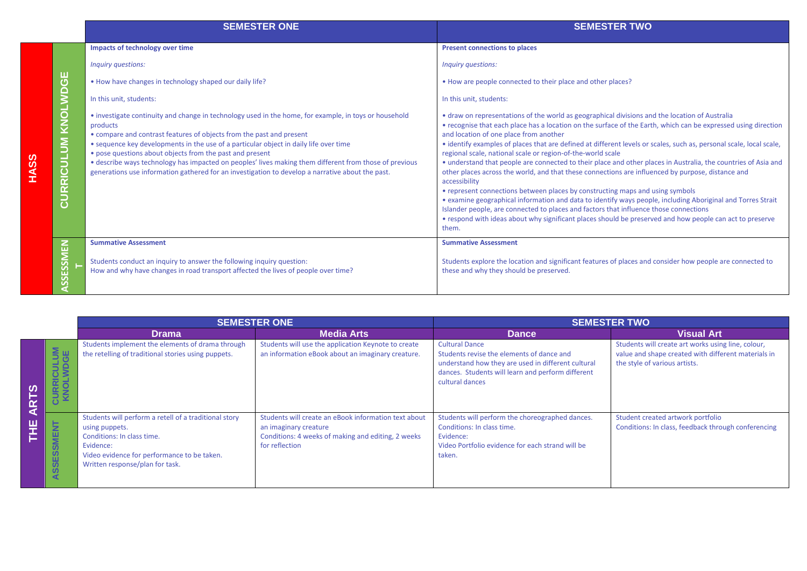|      |                                  | <b>SEMESTER ONE</b>                                                                                                                                                                                                                                                                                                                                                                                                                                                                                                                                          | <b>SEMESTER TWO</b>                                                                                                                                                                                                                                                                                                                                                                                                                                                                                                                                                                                                                                                                                                                                                                                                                                                                                                                                                                                                                                                                                    |
|------|----------------------------------|--------------------------------------------------------------------------------------------------------------------------------------------------------------------------------------------------------------------------------------------------------------------------------------------------------------------------------------------------------------------------------------------------------------------------------------------------------------------------------------------------------------------------------------------------------------|--------------------------------------------------------------------------------------------------------------------------------------------------------------------------------------------------------------------------------------------------------------------------------------------------------------------------------------------------------------------------------------------------------------------------------------------------------------------------------------------------------------------------------------------------------------------------------------------------------------------------------------------------------------------------------------------------------------------------------------------------------------------------------------------------------------------------------------------------------------------------------------------------------------------------------------------------------------------------------------------------------------------------------------------------------------------------------------------------------|
|      |                                  | Impacts of technology over time                                                                                                                                                                                                                                                                                                                                                                                                                                                                                                                              | <b>Present connections to places</b>                                                                                                                                                                                                                                                                                                                                                                                                                                                                                                                                                                                                                                                                                                                                                                                                                                                                                                                                                                                                                                                                   |
|      |                                  | Inquiry questions:                                                                                                                                                                                                                                                                                                                                                                                                                                                                                                                                           | Inquiry questions:                                                                                                                                                                                                                                                                                                                                                                                                                                                                                                                                                                                                                                                                                                                                                                                                                                                                                                                                                                                                                                                                                     |
|      | ш                                | • How have changes in technology shaped our daily life?                                                                                                                                                                                                                                                                                                                                                                                                                                                                                                      | • How are people connected to their place and other places?                                                                                                                                                                                                                                                                                                                                                                                                                                                                                                                                                                                                                                                                                                                                                                                                                                                                                                                                                                                                                                            |
|      |                                  | In this unit, students:                                                                                                                                                                                                                                                                                                                                                                                                                                                                                                                                      | In this unit, students:                                                                                                                                                                                                                                                                                                                                                                                                                                                                                                                                                                                                                                                                                                                                                                                                                                                                                                                                                                                                                                                                                |
| HASS | KNOLWDG<br><b>CULUM</b><br>CURRI | • investigate continuity and change in technology used in the home, for example, in toys or household<br>products<br>• compare and contrast features of objects from the past and present<br>• sequence key developments in the use of a particular object in daily life over time<br>• pose questions about objects from the past and present<br>• describe ways technology has impacted on peoples' lives making them different from those of previous<br>generations use information gathered for an investigation to develop a narrative about the past. | • draw on representations of the world as geographical divisions and the location of Australia<br>• recognise that each place has a location on the surface of the Earth, which can be expressed using direction<br>and location of one place from another<br>• identify examples of places that are defined at different levels or scales, such as, personal scale, local scale,<br>regional scale, national scale or region-of-the-world scale<br>• understand that people are connected to their place and other places in Australia, the countries of Asia and<br>other places across the world, and that these connections are influenced by purpose, distance and<br>accessibility<br>• represent connections between places by constructing maps and using symbols<br>• examine geographical information and data to identify ways people, including Aboriginal and Torres Strait<br>Islander people, are connected to places and factors that influence those connections<br>• respond with ideas about why significant places should be preserved and how people can act to preserve<br>them. |
|      | <b>NEN</b>                       | <b>Summative Assessment</b>                                                                                                                                                                                                                                                                                                                                                                                                                                                                                                                                  | <b>Summative Assessment</b>                                                                                                                                                                                                                                                                                                                                                                                                                                                                                                                                                                                                                                                                                                                                                                                                                                                                                                                                                                                                                                                                            |
|      | ESSI<br><b>NSSI</b>              | Students conduct an inquiry to answer the following inquiry question:<br>How and why have changes in road transport affected the lives of people over time?                                                                                                                                                                                                                                                                                                                                                                                                  | Students explore the location and significant features of places and consider how people are connected to<br>these and why they should be preserved.                                                                                                                                                                                                                                                                                                                                                                                                                                                                                                                                                                                                                                                                                                                                                                                                                                                                                                                                                   |

|               |                                               | <b>SEMESTER ONE</b>                                                                                                                                                                                  |                                                                                                                                                       | <b>SEMESTER TWO</b>                                                                                                                                                                              |                                                                                                                                            |
|---------------|-----------------------------------------------|------------------------------------------------------------------------------------------------------------------------------------------------------------------------------------------------------|-------------------------------------------------------------------------------------------------------------------------------------------------------|--------------------------------------------------------------------------------------------------------------------------------------------------------------------------------------------------|--------------------------------------------------------------------------------------------------------------------------------------------|
|               |                                               | <b>Drama</b>                                                                                                                                                                                         | <b>Media Arts</b>                                                                                                                                     | <b>Dance</b>                                                                                                                                                                                     | <b>Visual Art</b>                                                                                                                          |
| <u>ഗ</u><br>⋖ | <b>CURRICULUM</b><br>KNOLWDGE                 | Students implement the elements of drama through<br>the retelling of traditional stories using puppets.                                                                                              | Students will use the application Keynote to create<br>an information eBook about an imaginary creature.                                              | <b>Cultural Dance</b><br>Students revise the elements of dance and<br>understand how they are used in different cultural<br>dances. Students will learn and perform different<br>cultural dances | Students will create art works using line, colour,<br>value and shape created with different materials in<br>the style of various artists. |
| ш             | <b>SMENT</b><br>SSES:<br>$\blacktriangleleft$ | Students will perform a retell of a traditional story<br>using puppets.<br>Conditions: In class time.<br>Evidence:<br>Video evidence for performance to be taken.<br>Written response/plan for task. | Students will create an eBook information text about<br>an imaginary creature<br>Conditions: 4 weeks of making and editing, 2 weeks<br>for reflection | Students will perform the choreographed dances.<br>Conditions: In class time.<br>Evidence:<br>Video Portfolio evidence for each strand will be<br>taken.                                         | Student created artwork portfolio<br>Conditions: In class, feedback through conferencing                                                   |